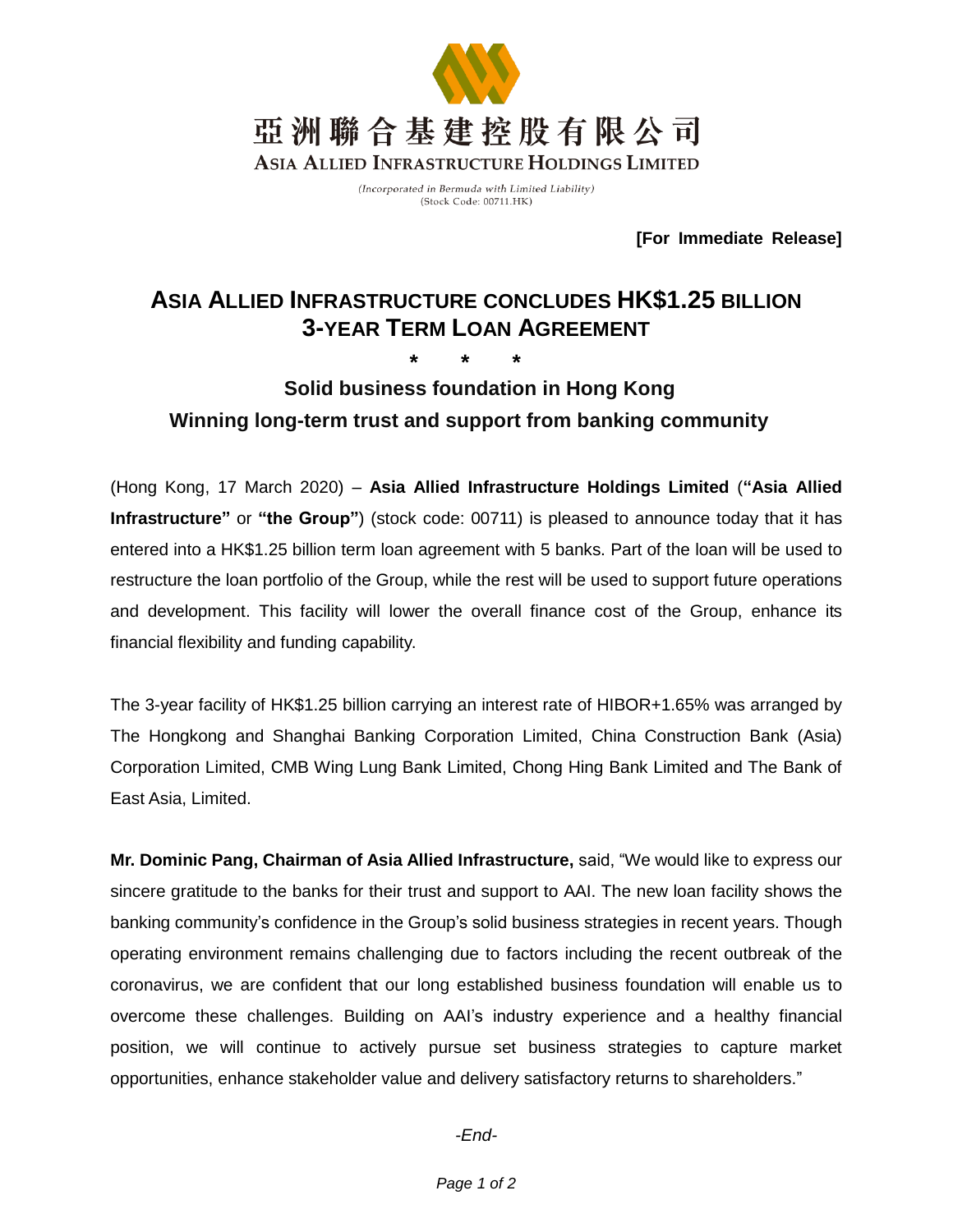

(Incorporated in Bermuda with Limited Liability) (Stock Code: 00711.HK)

**[For Immediate Release]**

# **ASIA ALLIED INFRASTRUCTURE CONCLUDES HK\$1.25 BILLION 3-YEAR TERM LOAN AGREEMENT**

## **\* \* \* Solid business foundation in Hong Kong Winning long-term trust and support from banking community**

(Hong Kong, 17 March 2020) – **Asia Allied Infrastructure Holdings Limited** (**"Asia Allied Infrastructure"** or **"the Group"**) (stock code: 00711) is pleased to announce today that it has entered into a HK\$1.25 billion term loan agreement with 5 banks. Part of the loan will be used to restructure the loan portfolio of the Group, while the rest will be used to support future operations and development. This facility will lower the overall finance cost of the Group, enhance its financial flexibility and funding capability.

The 3-year facility of HK\$1.25 billion carrying an interest rate of HIBOR+1.65% was arranged by The Hongkong and Shanghai Banking Corporation Limited, China Construction Bank (Asia) Corporation Limited, CMB Wing Lung Bank Limited, Chong Hing Bank Limited and The Bank of East Asia, Limited.

**Mr. Dominic Pang, Chairman of Asia Allied Infrastructure,** said, "We would like to express our sincere gratitude to the banks for their trust and support to AAI. The new loan facility shows the banking community's confidence in the Group's solid business strategies in recent years. Though operating environment remains challenging due to factors including the recent outbreak of the coronavirus, we are confident that our long established business foundation will enable us to overcome these challenges. Building on AAI's industry experience and a healthy financial position, we will continue to actively pursue set business strategies to capture market opportunities, enhance stakeholder value and delivery satisfactory returns to shareholders."

*-End-*